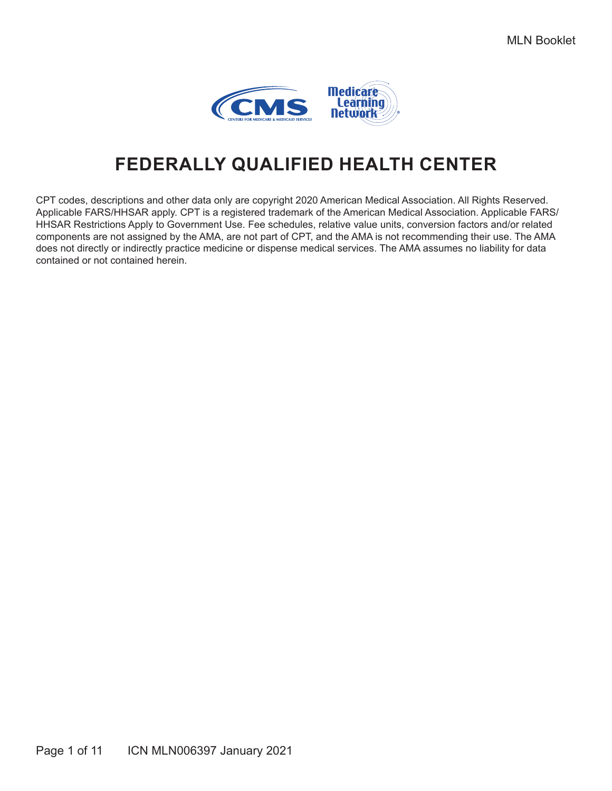

## **FEDERALLY QUALIFIED HEALTH CENTER**

CPT codes, descriptions and other data only are copyright 2020 American Medical Association. All Rights Reserved. Applicable FARS/HHSAR apply. CPT is a registered trademark of the American Medical Association. Applicable FARS/ HHSAR Restrictions Apply to Government Use. Fee schedules, relative value units, conversion factors and/or related components are not assigned by the AMA, are not part of CPT, and the AMA is not recommending their use. The AMA does not directly or indirectly practice medicine or dispense medical services. The AMA assumes no liability for data contained or not contained herein.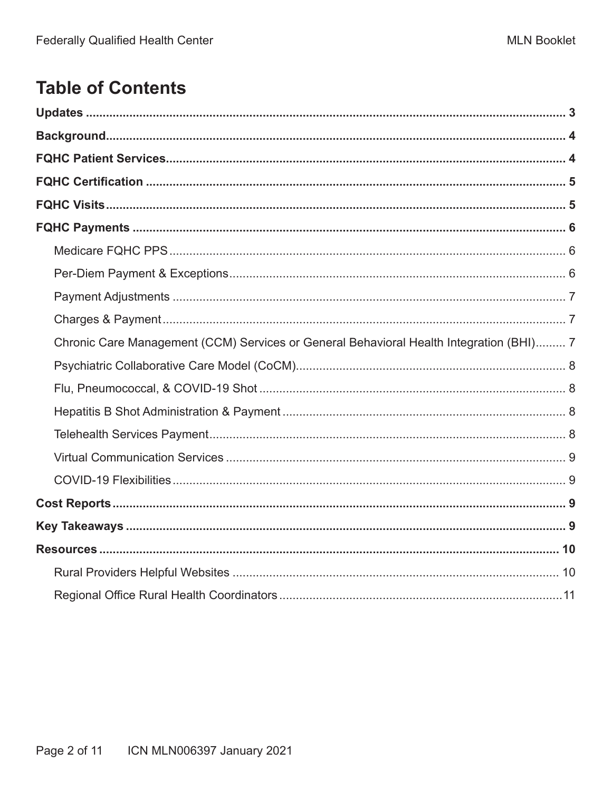## **Table of Contents**

| Chronic Care Management (CCM) Services or General Behavioral Health Integration (BHI) 7 |  |
|-----------------------------------------------------------------------------------------|--|
|                                                                                         |  |
|                                                                                         |  |
|                                                                                         |  |
|                                                                                         |  |
|                                                                                         |  |
|                                                                                         |  |
|                                                                                         |  |
|                                                                                         |  |
|                                                                                         |  |
|                                                                                         |  |
|                                                                                         |  |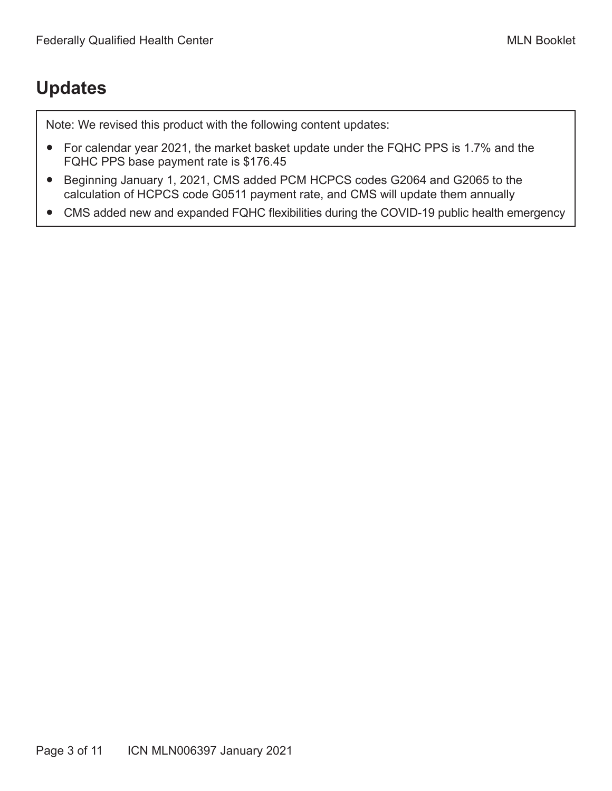## <span id="page-2-0"></span>**Updates**

Note: We revised this product with the following content updates:

- For calendar year 2021, the market basket update under the FQHC PPS is 1.7% and the FQHC PPS base payment rate is \$176.45
- Beginning January 1, 2021, CMS added PCM HCPCS codes G2064 and G2065 to the calculation of HCPCS code G0511 payment rate, and CMS will update them annually
- CMS added new and expanded FQHC flexibilities during the COVID-19 public health emergency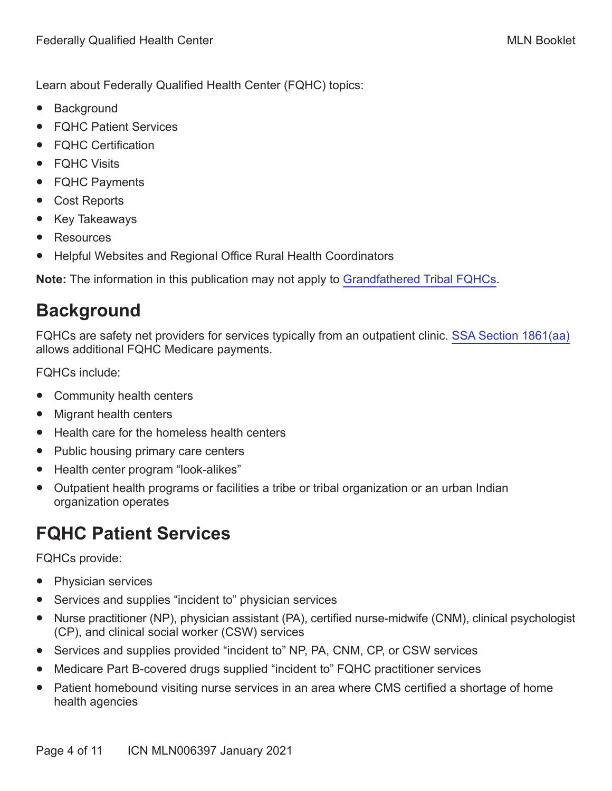<span id="page-3-0"></span>Learn about Federally Qualified Health Center (FQHC) topics:

- Background
- FQHC Patient Services
- **FQHC Certification**
- FQHC Visits
- FQHC Payments
- Cost Reports
- **Key Takeaways**
- Resources
- Helpful Websites and Regional Office Rural Health Coordinators

**Note:** The information in this publication may not apply to [Grandfathered Tribal FQHCs.](https://www.cms.gov/Medicare/Medicare-Fee-for-Service-Payment/FQHCPPS/Grandfathered-Tribal-FQHCs)

## **Background**

FQHCs are safety net providers for services typically from an outpatient clinic. [SSA Section 1861\(aa\)](https://www.ssa.gov/OP_Home/ssact/title18/1861.htm) allows additional FQHC Medicare payments.

FQHCs include:

- Community health centers
- **Migrant health centers**
- Health care for the homeless health centers
- Public housing primary care centers
- Health center program "look-alikes"
- Outpatient health programs or facilities a tribe or tribal organization or an urban Indian organization operates

## **FQHC Patient Services**

FQHCs provide:

- Physician services
- Services and supplies "incident to" physician services
- Nurse practitioner (NP), physician assistant (PA), certified nurse-midwife (CNM), clinical psychologist (CP), and clinical social worker (CSW) services
- Services and supplies provided "incident to" NP, PA, CNM, CP, or CSW services
- Medicare Part B-covered drugs supplied "incident to" FQHC practitioner services
- Patient homebound visiting nurse services in an area where CMS certified a shortage of home health agencies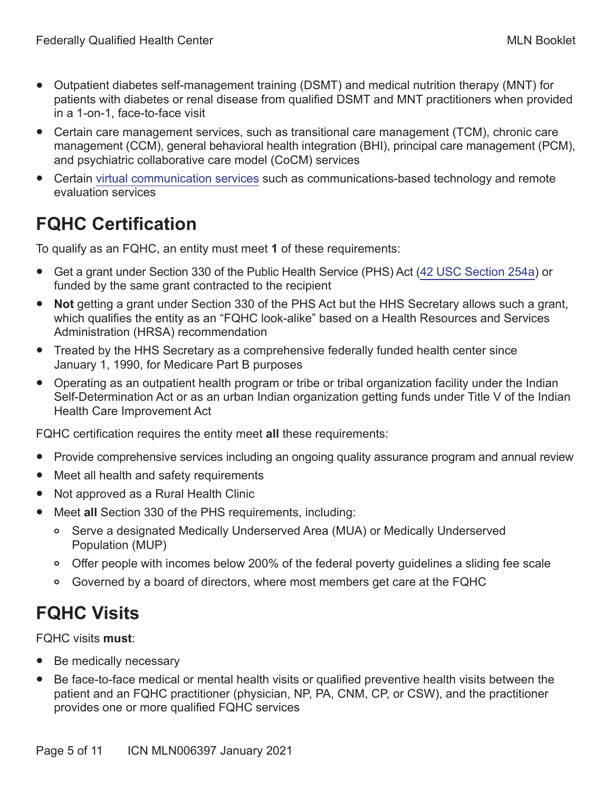- <span id="page-4-0"></span>● Outpatient diabetes self-management training (DSMT) and medical nutrition therapy (MNT) for patients with diabetes or renal disease from qualified DSMT and MNT practitioners when provided in a 1-on-1, face-to-face visit
- Certain care management services, such as transitional care management (TCM), chronic care management (CCM), general behavioral health integration (BHI), principal care management (PCM), and psychiatric collaborative care model (CoCM) services
- Certain [virtual communication services](https://www.cms.gov/Medicare/Medicare-Fee-for-Service-Payment/FQHCPPS/Downloads/VCS-FAQs.pdf) such as communications-based technology and remote evaluation services

## **FQHC Certification**

To qualify as an FQHC, an entity must meet **1** of these requirements:

- Get a grant under Section 330 of the Public Health Service (PHS) Act [\(42 USC Section 254a](https://uscode.house.gov/view.xhtml?req=granuleid:USC-prelim-title42-section254a&num=0&edition=prelim)) or funded by the same grant contracted to the recipient
- **Not** getting a grant under Section 330 of the PHS Act but the HHS Secretary allows such a grant, which qualifies the entity as an "FQHC look-alike" based on a Health Resources and Services Administration (HRSA) recommendation
- Treated by the HHS Secretary as a comprehensive federally funded health center since January 1, 1990, for Medicare Part B purposes
- Operating as an outpatient health program or tribe or tribal organization facility under the Indian Self-Determination Act or as an urban Indian organization getting funds under Title V of the Indian Health Care Improvement Act

FQHC certification requires the entity meet **all** these requirements:

- Provide comprehensive services including an ongoing quality assurance program and annual review
- Meet all health and safety requirements
- Not approved as a Rural Health Clinic
- Meet **all** Section 330 of the PHS requirements, including:
	- Serve a designated Medically Underserved Area (MUA) or Medically Underserved Population (MUP)
	- Offer people with incomes below 200% of the federal poverty guidelines a sliding fee scale
	- Governed by a board of directors, where most members get care at the FQHC

# **FQHC Visits**

FQHC visits **must**:

- Be medically necessary
- Be face-to-face medical or mental health visits or qualified preventive health visits between the patient and an FQHC practitioner (physician, NP, PA, CNM, CP, or CSW), and the practitioner provides one or more qualified FQHC services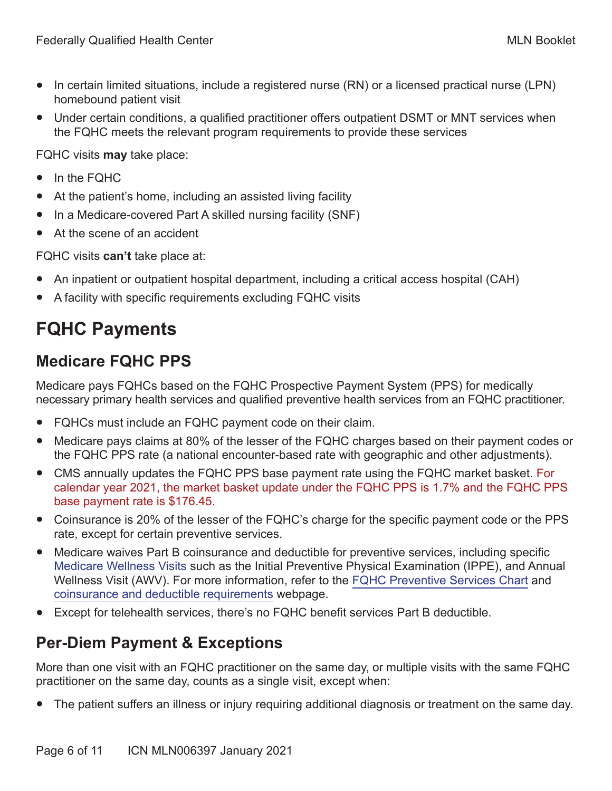- <span id="page-5-0"></span>● In certain limited situations, include a registered nurse (RN) or a licensed practical nurse (LPN) homebound patient visit
- Under certain conditions, a qualified practitioner offers outpatient DSMT or MNT services when the FQHC meets the relevant program requirements to provide these services

FQHC visits **may** take place:

- In the FQHC
- At the patient's home, including an assisted living facility
- In a Medicare-covered Part A skilled nursing facility (SNF)
- At the scene of an accident

FQHC visits **can't** take place at:

- An inpatient or outpatient hospital department, including a critical access hospital (CAH)
- A facility with specific requirements excluding FQHC visits

# **FQHC Payments**

### **Medicare FQHC PPS**

Medicare pays FQHCs based on the FQHC Prospective Payment System (PPS) for medically necessary primary health services and qualified preventive health services from an FQHC practitioner.

- FQHCs must include an FQHC payment code on their claim.
- Medicare pays claims at 80% of the lesser of the FQHC charges based on their payment codes or the FQHC PPS rate (a national encounter-based rate with geographic and other adjustments).
- CMS annually updates the FQHC PPS base payment rate using the FQHC market basket. For calendar year 2021, the market basket update under the FQHC PPS is 1.7% and the FQHC PPS base payment rate is \$176.45.
- Coinsurance is 20% of the lesser of the FQHC's charge for the specific payment code or the PPS rate, except for certain preventive services.
- Medicare waives Part B coinsurance and deductible for preventive services, including specific [Medicare Wellness Visits](https://www.cms.gov/Outreach-and-Education/Medicare-Learning-Network-MLN/MLNProducts/preventive-services/medicare-wellness-visits.html) such as the Initial Preventive Physical Examination (IPPE), and Annual Wellness Visit (AWV). For more information, refer to the [FQHC Preventive Services Chart](https://www.cms.gov/Medicare/Medicare-Fee-for-Service-Payment/FQHCPPS/Downloads/FQHC-Preventive-Services.pdf) and [coinsurance and deductible requirements](https://www.medicare.gov/your-medicare-costs) webpage.
- Except for telehealth services, there's no FQHC benefit services Part B deductible.

### **Per-Diem Payment & Exceptions**

More than one visit with an FQHC practitioner on the same day, or multiple visits with the same FQHC practitioner on the same day, counts as a single visit, except when:

The patient suffers an illness or injury requiring additional diagnosis or treatment on the same day.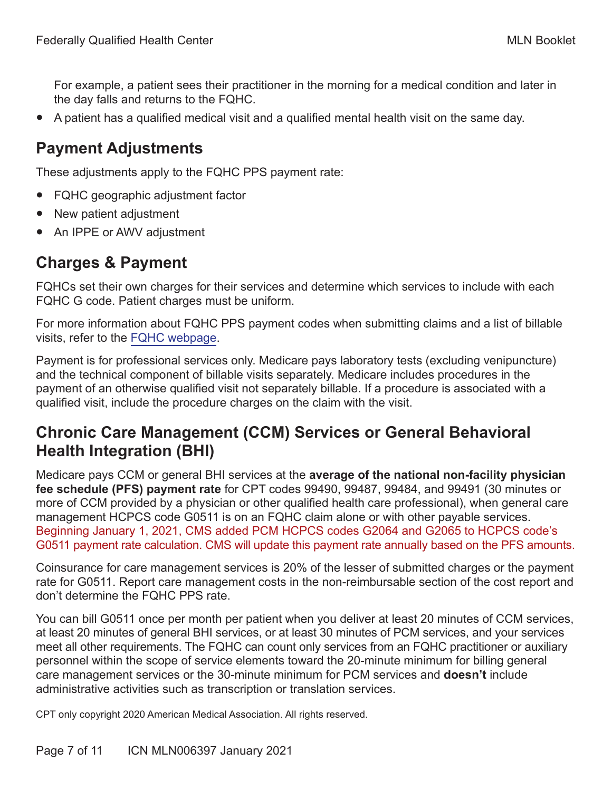<span id="page-6-0"></span>For example, a patient sees their practitioner in the morning for a medical condition and later in the day falls and returns to the FQHC.

● A patient has a qualified medical visit and a qualified mental health visit on the same day.

#### **Payment Adjustments**

These adjustments apply to the FQHC PPS payment rate:

- FQHC geographic adjustment factor
- New patient adjustment
- An IPPE or AWV adjustment

#### **Charges & Payment**

FQHCs set their own charges for their services and determine which services to include with each FQHC G code. Patient charges must be uniform.

For more information about FQHC PPS payment codes when submitting claims and a list of billable visits, refer to the [FQHC webpage.](https://www.cms.gov/Center/Provider-Type/Federally-Qualified-Health-Centers-FQHC-Center)

Payment is for professional services only. Medicare pays laboratory tests (excluding venipuncture) and the technical component of billable visits separately. Medicare includes procedures in the payment of an otherwise qualified visit not separately billable. If a procedure is associated with a qualified visit, include the procedure charges on the claim with the visit.

#### **Chronic Care Management (CCM) Services or General Behavioral Health Integration (BHI)**

Medicare pays CCM or general BHI services at the **average of the national non-facility physician fee schedule (PFS) payment rate** for CPT codes 99490, 99487, 99484, and 99491 (30 minutes or more of CCM provided by a physician or other qualified health care professional), when general care management HCPCS code G0511 is on an FQHC claim alone or with other payable services. Beginning January 1, 2021, CMS added PCM HCPCS codes G2064 and G2065 to HCPCS code's G0511 payment rate calculation. CMS will update this payment rate annually based on the PFS amounts.

Coinsurance for care management services is 20% of the lesser of submitted charges or the payment rate for G0511. Report care management costs in the non-reimbursable section of the cost report and don't determine the FQHC PPS rate.

You can bill G0511 once per month per patient when you deliver at least 20 minutes of CCM services, at least 20 minutes of general BHI services, or at least 30 minutes of PCM services, and your services meet all other requirements. The FQHC can count only services from an FQHC practitioner or auxiliary personnel within the scope of service elements toward the 20-minute minimum for billing general care management services or the 30-minute minimum for PCM services and **doesn't** include administrative activities such as transcription or translation services.

CPT only copyright 2020 American Medical Association. All rights reserved.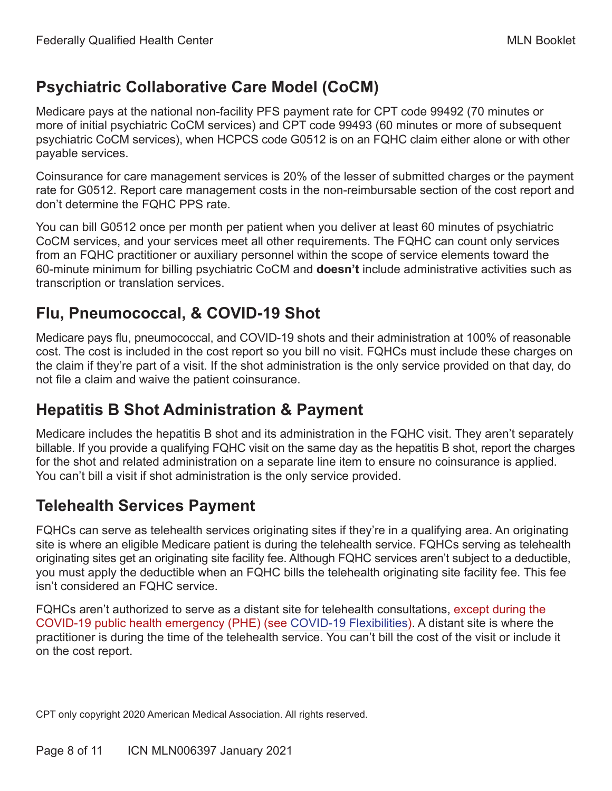### <span id="page-7-0"></span>**Psychiatric Collaborative Care Model (CoCM)**

Medicare pays at the national non-facility PFS payment rate for CPT code 99492 (70 minutes or more of initial psychiatric CoCM services) and CPT code 99493 (60 minutes or more of subsequent psychiatric CoCM services), when HCPCS code G0512 is on an FQHC claim either alone or with other payable services.

Coinsurance for care management services is 20% of the lesser of submitted charges or the payment rate for G0512. Report care management costs in the non-reimbursable section of the cost report and don't determine the FQHC PPS rate.

You can bill G0512 once per month per patient when you deliver at least 60 minutes of psychiatric CoCM services, and your services meet all other requirements. The FQHC can count only services from an FQHC practitioner or auxiliary personnel within the scope of service elements toward the 60-minute minimum for billing psychiatric CoCM and **doesn't** include administrative activities such as transcription or translation services.

### **Flu, Pneumococcal, & COVID-19 Shot**

Medicare pays flu, pneumococcal, and COVID-19 shots and their administration at 100% of reasonable cost. The cost is included in the cost report so you bill no visit. FQHCs must include these charges on the claim if they're part of a visit. If the shot administration is the only service provided on that day, do not file a claim and waive the patient coinsurance.

### **Hepatitis B Shot Administration & Payment**

Medicare includes the hepatitis B shot and its administration in the FQHC visit. They aren't separately billable. If you provide a qualifying FQHC visit on the same day as the hepatitis B shot, report the charges for the shot and related administration on a separate line item to ensure no coinsurance is applied. You can't bill a visit if shot administration is the only service provided.

### **Telehealth Services Payment**

FQHCs can serve as telehealth services originating sites if they're in a qualifying area. An originating site is where an eligible Medicare patient is during the telehealth service. FQHCs serving as telehealth originating sites get an originating site facility fee. Although FQHC services aren't subject to a deductible, you must apply the deductible when an FQHC bills the telehealth originating site facility fee. This fee isn't considered an FQHC service.

FQHCs aren't authorized to serve as a distant site for telehealth consultations, except during the COVID-19 public health emergency (PHE) (see [COVID-19 Flexibilities](#page-8-1)). A distant site is where the practitioner is during the time of the telehealth service. You can't bill the cost of the visit or include it on the cost report.

CPT only copyright 2020 American Medical Association. All rights reserved.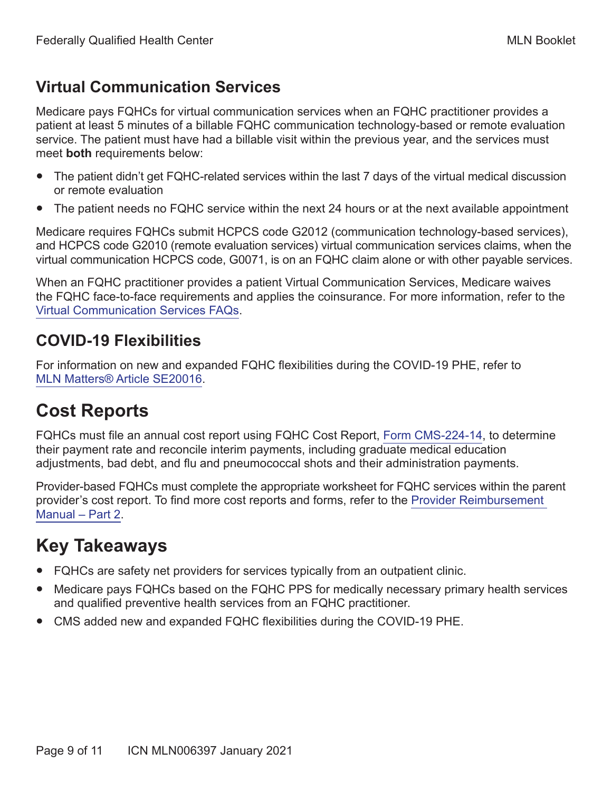#### <span id="page-8-0"></span>**Virtual Communication Services**

Medicare pays FQHCs for virtual communication services when an FQHC practitioner provides a patient at least 5 minutes of a billable FQHC communication technology-based or remote evaluation service. The patient must have had a billable visit within the previous year, and the services must meet **both** requirements below:

- The patient didn't get FQHC-related services within the last 7 days of the virtual medical discussion or remote evaluation
- The patient needs no FQHC service within the next 24 hours or at the next available appointment

Medicare requires FQHCs submit HCPCS code G2012 (communication technology-based services), and HCPCS code G2010 (remote evaluation services) virtual communication services claims, when the virtual communication HCPCS code, G0071, is on an FQHC claim alone or with other payable services.

When an FQHC practitioner provides a patient Virtual Communication Services, Medicare waives the FQHC face-to-face requirements and applies the coinsurance. For more information, refer to the [Virtual Communication Services FAQs](https://www.cms.gov/Medicare/Medicare-Fee-for-Service-Payment/FQHCPPS/Downloads/VCS-FAQs.pdf).

#### <span id="page-8-1"></span>**COVID-19 Flexibilities**

For information on new and expanded FQHC flexibilities during the COVID-19 PHE, refer to [MLN Matters® Article SE20016](https://www.cms.gov/files/document/se20016.pdf).

## **Cost Reports**

FQHCs must file an annual cost report using FQHC Cost Report, [Form CMS-224-14,](https://www.cms.gov/Regulations-and-Guidance/Legislation/PaperworkReductionActof1995/PRA-Listing-Items/CMS-224-14) to determine their payment rate and reconcile interim payments, including graduate medical education adjustments, bad debt, and flu and pneumococcal shots and their administration payments.

Provider-based FQHCs must complete the appropriate worksheet for FQHC services within the parent provider's cost report. To find more cost reports and forms, refer to the [Provider Reimbursement](https://www.cms.gov/Regulations-and-Guidance/Guidance/Manuals/Paper-Based-Manuals-Items/CMS021935)  [Manual – Part 2.](https://www.cms.gov/Regulations-and-Guidance/Guidance/Manuals/Paper-Based-Manuals-Items/CMS021935)

# **Key Takeaways**

- FQHCs are safety net providers for services typically from an outpatient clinic.
- Medicare pays FQHCs based on the FQHC PPS for medically necessary primary health services and qualified preventive health services from an FQHC practitioner.
- CMS added new and expanded FQHC flexibilities during the COVID-19 PHE.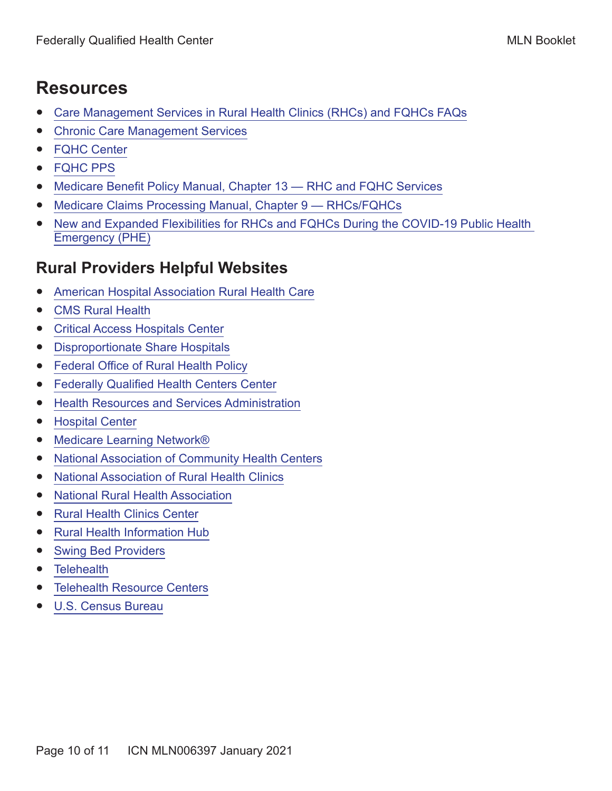## <span id="page-9-0"></span>**Resources**

- [Care Management Services in Rural Health Clinics \(RHCs\) and FQHCs FAQs](https://www.cms.gov/Medicare/Medicare-Fee-for-Service-Payment/FQHCPPS/Downloads/FQHC-RHC-FAQs.pdf)
- [Chronic Care Management Services](https://www.cms.gov/Outreach-and-Education/Medicare-Learning-Network-MLN/MLNProducts/Downloads/ChronicCareManagement.pdf)
- [FQHC Center](https://www.cms.gov/Center/Provider-Type/Federally-Qualified-Health-Centers-FQHC-Center)
- [FQHC PPS](https://www.cms.gov/Medicare/Medicare-Fee-for-Service-Payment/FQHCPPS)
- [Medicare Benefit Policy Manual, Chapter 13 RHC and FQHC Services](https://www.cms.gov/Regulations-and-Guidance/Guidance/Manuals/Downloads/bp102c13.pdf)
- Medicare Claims Processing Manual, Chapter 9 RHCs/FQHCs
- New and Expanded Flexibilities for RHCs and FQHCs During the COVID-19 Public Health [Emergency \(PHE\)](https://www.cms.gov/files/document/se20016.pdf)

### **Rural Providers Helpful Websites**

- [American Hospital Association Rural Health Care](https://www.aha.org/advocacy/rural-health-services)
- [CMS Rural Health](http://go.cms.gov/ruralhealth)
- [Critical Access Hospitals Center](https://www.cms.gov/Center/Provider-Type/Critical-Access-Hospitals-Center)
- [Disproportionate Share Hospitals](https://www.cms.gov/Medicare/Medicare-Fee-for-Service-Payment/AcuteInpatientPPS/dsh)
- [Federal Office of Rural Health Policy](https://www.hrsa.gov/rural-health)
- [Federally Qualified Health Centers Center](https://www.cms.gov/Center/Provider-Type/Federally-Qualified-Health-Centers-FQHC-Center)
- [Health Resources and Services Administration](https://www.hrsa.gov)
- [Hospital Center](https://www.cms.gov/Center/Provider-Type/Hospital-Center)
- [Medicare Learning Network®](http://go.cms.gov/MLNGenInfo)
- [National Association of Community Health Centers](https://www.nachc.org)
- [National Association of Rural Health Clinics](https://www.narhc.org)
- [National Rural Health Association](https://www.ruralhealthweb.org)
- [Rural Health Clinics Center](https://www.cms.gov/Center/Provider-Type/Rural-Health-Clinics-Center)
- [Rural Health Information Hub](https://www.ruralhealthinfo.org)
- [Swing Bed Providers](https://www.cms.gov/Medicare/Medicare-Fee-for-Service-Payment/SNFPPS/SwingBed)
- [Telehealth](https://www.cms.gov/Medicare/Medicare-General-Information/Telehealth)
- [Telehealth Resource Centers](https://www.telehealthresourcecenter.org)
- [U.S. Census Bureau](https://www.census.gov)